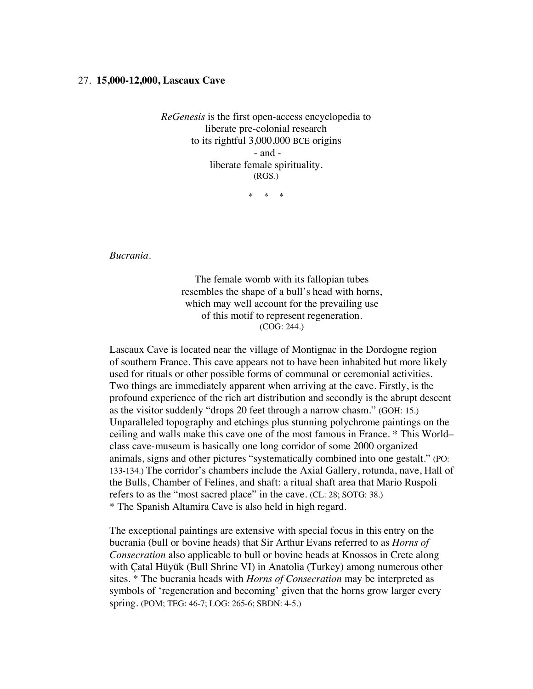## 27. **15,000-12,000, Lascaux Cave**

*ReGenesis* is the first open-access encyclopedia to liberate pre-colonial research to its rightful 3,000,000 BCE origins - and liberate female spirituality. (RGS.)

\* \* \*

*Bucrania.*

The female womb with its fallopian tubes resembles the shape of a bull's head with horns, which may well account for the prevailing use of this motif to represent regeneration. (COG: 244.)

Lascaux Cave is located near the village of Montignac in the Dordogne region of southern France. This cave appears not to have been inhabited but more likely used for rituals or other possible forms of communal or ceremonial activities. Two things are immediately apparent when arriving at the cave. Firstly, is the profound experience of the rich art distribution and secondly is the abrupt descent as the visitor suddenly "drops 20 feet through a narrow chasm." (GOH: 15.) Unparalleled topography and etchings plus stunning polychrome paintings on the ceiling and walls make this cave one of the most famous in France. \* This World– class cave-museum is basically one long corridor of some 2000 organized animals, signs and other pictures "systematically combined into one gestalt." (PO: 133-134.) The corridor's chambers include the Axial Gallery, rotunda, nave, Hall of the Bulls, Chamber of Felines, and shaft: a ritual shaft area that Mario Ruspoli refers to as the "most sacred place" in the cave. (CL: 28; SOTG: 38.) \* The Spanish Altamira Cave is also held in high regard.

The exceptional paintings are extensive with special focus in this entry on the bucrania (bull or bovine heads) that Sir Arthur Evans referred to as *Horns of Consecration* also applicable to bull or bovine heads at Knossos in Crete along with Çatal Hüyük (Bull Shrine VI) in Anatolia (Turkey) among numerous other sites. \* The bucrania heads with *Horns of Consecration* may be interpreted as symbols of 'regeneration and becoming' given that the horns grow larger every spring. (POM; TEG: 46-7; LOG: 265-6; SBDN: 4-5.)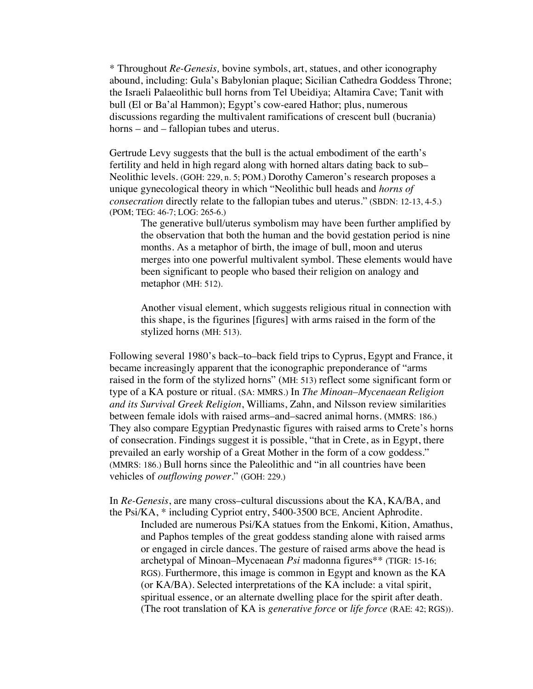\* Throughout *Re-Genesis,* bovine symbols, art, statues, and other iconography abound, including: Gula's Babylonian plaque; Sicilian Cathedra Goddess Throne; the Israeli Palaeolithic bull horns from Tel Ubeidiya; Altamira Cave; Tanit with bull (El or Ba'al Hammon); Egypt's cow-eared Hathor; plus, numerous discussions regarding the multivalent ramifications of crescent bull (bucrania) horns – and – fallopian tubes and uterus.

Gertrude Levy suggests that the bull is the actual embodiment of the earth's fertility and held in high regard along with horned altars dating back to sub– Neolithic levels. (GOH: 229, n. 5; POM.) Dorothy Cameron's research proposes a unique gynecological theory in which "Neolithic bull heads and *horns of consecration* directly relate to the fallopian tubes and uterus." (SBDN: 12-13, 4-5.) (POM; TEG: 46-7; LOG: 265-6.)

The generative bull/uterus symbolism may have been further amplified by the observation that both the human and the bovid gestation period is nine months. As a metaphor of birth, the image of bull, moon and uterus merges into one powerful multivalent symbol. These elements would have been significant to people who based their religion on analogy and metaphor (MH: 512).

Another visual element, which suggests religious ritual in connection with this shape, is the figurines [figures] with arms raised in the form of the stylized horns (MH: 513).

Following several 1980's back–to–back field trips to Cyprus, Egypt and France, it became increasingly apparent that the iconographic preponderance of "arms raised in the form of the stylized horns" (MH: 513) reflect some significant form or type of a KA posture or ritual. (SA: MMRS.) In *The Minoan–Mycenaean Religion and its Survival Greek Religion*, Williams, Zahn, and Nilsson review similarities between female idols with raised arms–and–sacred animal horns. (MMRS: 186.) They also compare Egyptian Predynastic figures with raised arms to Crete's horns of consecration. Findings suggest it is possible, "that in Crete, as in Egypt, there prevailed an early worship of a Great Mother in the form of a cow goddess." (MMRS: 186.) Bull horns since the Paleolithic and "in all countries have been vehicles of *outflowing power*." (GOH: 229.)

In *Re-Genesis*, are many cross–cultural discussions about the KA, KA/BA, and the Psi/KA, \* including Cypriot entry, 5400-3500 BCE, Ancient Aphrodite.

Included are numerous Psi/KA statues from the Enkomi, Kition, Amathus, and Paphos temples of the great goddess standing alone with raised arms or engaged in circle dances. The gesture of raised arms above the head is archetypal of Minoan–Mycenaean *Psi* madonna figures\*\* (TIGR: 15-16; RGS). Furthermore, this image is common in Egypt and known as the KA (or KA/BA). Selected interpretations of the KA include: a vital spirit, spiritual essence, or an alternate dwelling place for the spirit after death. (The root translation of KA is *generative force* or *life force* (RAE: 42; RGS)).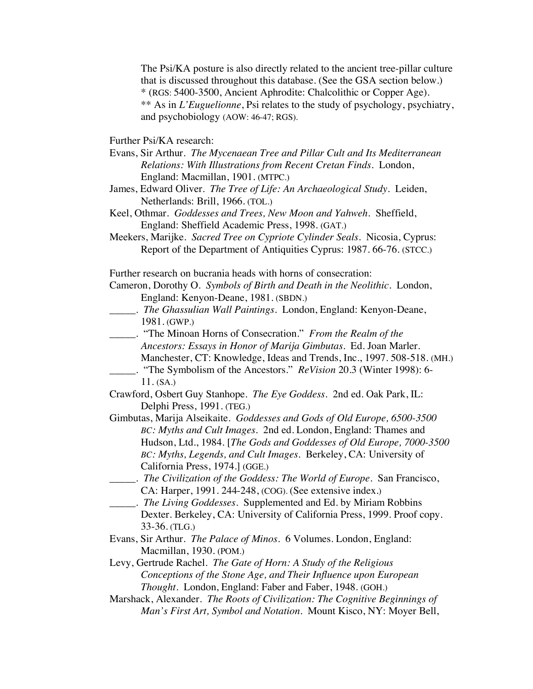The Psi/KA posture is also directly related to the ancient tree-pillar culture that is discussed throughout this database. (See the GSA section below.) \* (RGS: 5400-3500, Ancient Aphrodite: Chalcolithic or Copper Age). \*\* As in *L'Euguelionne*, Psi relates to the study of psychology, psychiatry, and psychobiology (AOW: 46-47; RGS).

Further Psi/KA research:

- Evans, Sir Arthur. *The Mycenaean Tree and Pillar Cult and Its Mediterranean Relations: With Illustrations from Recent Cretan Finds*. London, England: Macmillan, 1901. (MTPC.)
- James, Edward Oliver. *The Tree of Life: An Archaeological Study*. Leiden, Netherlands: Brill, 1966. (TOL.)
- Keel, Othmar. *Goddesses and Trees, New Moon and Yahweh*. Sheffield, England: Sheffield Academic Press, 1998. (GAT.)
- Meekers, Marijke.*Sacred Tree on Cypriote Cylinder Seals*. Nicosia, Cyprus: Report of the Department of Antiquities Cyprus: 1987. 66-76. (STCC.)

Further research on bucrania heads with horns of consecration:

- Cameron, Dorothy O. *Symbols of Birth and Death in the Neolithic*. London, England: Kenyon-Deane, 1981. (SBDN.)
- \_\_\_\_\_. *The Ghassulian Wall Paintings*. London, England: Kenyon-Deane, 1981. (GWP.)
- \_\_\_\_\_. "The Minoan Horns of Consecration." *From the Realm of the Ancestors: Essays in Honor of Marija Gimbutas*. Ed. Joan Marler. Manchester, CT: Knowledge, Ideas and Trends, Inc., 1997. 508-518. (MH.) \_\_\_\_\_. "The Symbolism of the Ancestors." *ReVision* 20.3 (Winter 1998): 6-

11. (SA.)

- Crawford, Osbert Guy Stanhope. *The Eye Goddess*. 2nd ed. Oak Park, IL: Delphi Press, 1991. (TEG.)
- Gimbutas, Marija Alseikaite. *Goddesses and Gods of Old Europe, 6500-3500 BC: Myths and Cult Images*. 2nd ed. London, England: Thames and Hudson, Ltd., 1984. [*The Gods and Goddesses of Old Europe, 7000-3500 BC: Myths, Legends, and Cult Images.* Berkeley, CA: University of California Press, 1974.] (GGE.)
- \_\_\_\_\_. *The Civilization of the Goddess: The World of Europe*. San Francisco, CA: Harper, 1991. 244-248, (COG). (See extensive index.)
- \_\_\_\_\_. *The Living Goddesses*. Supplemented and Ed. by Miriam Robbins Dexter. Berkeley, CA: University of California Press, 1999. Proof copy. 33-36. (TLG.)
- Evans, Sir Arthur. *The Palace of Minos.* 6 Volumes. London, England: Macmillan, 1930. (POM.)
- Levy, Gertrude Rachel. *The Gate of Horn: A Study of the Religious Conceptions of the Stone Age, and Their Influence upon European Thought.* London, England: Faber and Faber, 1948. (GOH.)
- Marshack, Alexander. *The Roots of Civilization: The Cognitive Beginnings of Man's First Art, Symbol and Notation.* Mount Kisco, NY: Moyer Bell,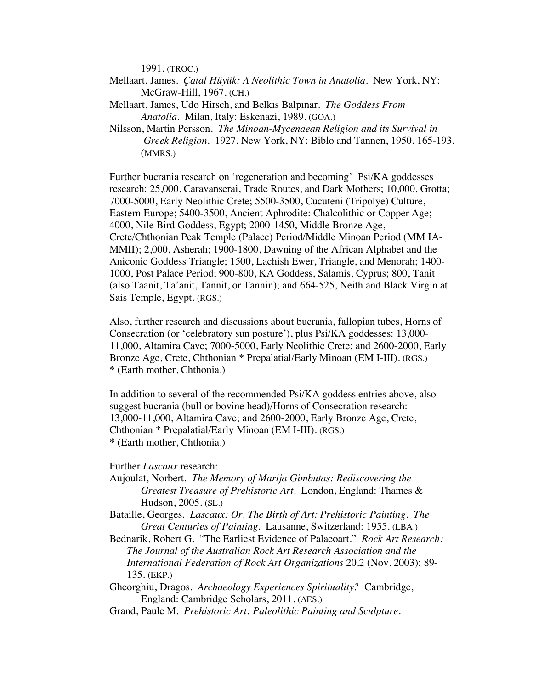1991. (TROC.)

- Mellaart, James. *Çatal Hüyük: A Neolithic Town in Anatolia*. New York, NY: McGraw-Hill, 1967. (CH.)
- Mellaart, James, Udo Hirsch, and Belkıs Balpınar. *The Goddess From Anatolia*. Milan, Italy: Eskenazi, 1989. (GOA.)
- Nilsson, Martin Persson*. The Minoan-Mycenaean Religion and its Survival in Greek Religion.* 1927. New York, NY: Biblo and Tannen, 1950. 165-193. (MMRS.)

Further bucrania research on 'regeneration and becoming' Psi/KA goddesses research: 25,000, Caravanserai, Trade Routes, and Dark Mothers; 10,000, Grotta; 7000-5000, Early Neolithic Crete; 5500-3500, Cucuteni (Tripolye) Culture, Eastern Europe; 5400-3500, Ancient Aphrodite: Chalcolithic or Copper Age; 4000, Nile Bird Goddess, Egypt; 2000-1450, Middle Bronze Age, Crete/Chthonian Peak Temple (Palace) Period/Middle Minoan Period (MM IA-MMII); 2,000, Asherah; 1900-1800, Dawning of the African Alphabet and the Aniconic Goddess Triangle; 1500, Lachish Ewer, Triangle, and Menorah; 1400- 1000, Post Palace Period; 900-800, KA Goddess, Salamis, Cyprus; 800, Tanit (also Taanit, Ta'anit, Tannit, or Tannin); and 664-525, Neith and Black Virgin at Sais Temple, Egypt. (RGS.)

Also, further research and discussions about bucrania, fallopian tubes, Horns of Consecration (or 'celebratory sun posture'), plus Psi/KA goddesses: 13,000- 11,000, Altamira Cave; 7000-5000, Early Neolithic Crete; and 2600-2000, Early Bronze Age, Crete, Chthonian \* Prepalatial/Early Minoan (EM I-III). (RGS.) **\*** (Earth mother, Chthonia.)

In addition to several of the recommended Psi/KA goddess entries above, also suggest bucrania (bull or bovine head)/Horns of Consecration research: 13,000-11,000, Altamira Cave; and 2600-2000, Early Bronze Age, Crete, Chthonian \* Prepalatial/Early Minoan (EM I-III). (RGS.) **\*** (Earth mother, Chthonia.)

Further *Lascaux* research:

- Aujoulat, Norbert. *The Memory of Marija Gimbutas: Rediscovering the Greatest Treasure of Prehistoric Art*. London, England: Thames & Hudson, 2005. (SL.)
- Bataille, Georges. *Lascaux: Or, The Birth of Art: Prehistoric Painting. The Great Centuries of Painting.* Lausanne, Switzerland: 1955. (LBA.)
- Bednarik, Robert G. "The Earliest Evidence of Palaeoart." *Rock Art Research: The Journal of the Australian Rock Art Research Association and the International Federation of Rock Art Organizations* 20.2 (Nov. 2003): 89- 135. (EKP.)
- Gheorghiu, Dragos. *Archaeology Experiences Spirituality?* Cambridge, England: Cambridge Scholars, 2011. (AES.)
- Grand, Paule M. *Prehistoric Art: Paleolithic Painting and Sculpture*.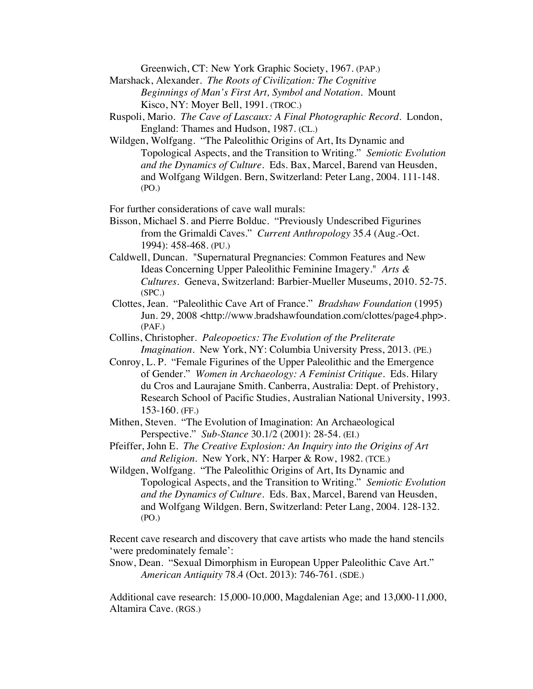Greenwich, CT: New York Graphic Society, 1967. (PAP.)

- Marshack, Alexander. *The Roots of Civilization: The Cognitive Beginnings of Man's First Art, Symbol and Notation*. Mount Kisco, NY: Moyer Bell, 1991. (TROC.)
- Ruspoli, Mario. *The Cave of Lascaux: A Final Photographic Record*. London, England: Thames and Hudson, 1987. (CL.)
- Wildgen, Wolfgang. "The Paleolithic Origins of Art, Its Dynamic and Topological Aspects, and the Transition to Writing." *Semiotic Evolution and the Dynamics of Culture.* Eds. Bax, Marcel, Barend van Heusden, and Wolfgang Wildgen. Bern, Switzerland: Peter Lang, 2004. 111-148. (PO.)

For further considerations of cave wall murals:

- Bisson, Michael S. and Pierre Bolduc. "Previously Undescribed Figurines from the Grimaldi Caves." *Current Anthropology* 35.4 (Aug.-Oct. 1994): 458-468. (PU.)
- Caldwell, Duncan. "Supernatural Pregnancies: Common Features and New Ideas Concerning Upper Paleolithic Feminine Imagery." *Arts & Cultures.* Geneva, Switzerland: Barbier-Mueller Museums, 2010. 52-75. (SPC.)
- Clottes, Jean. "Paleolithic Cave Art of France." *Bradshaw Foundation* (1995) Jun. 29, 2008 <http://www.bradshawfoundation.com/clottes/page4.php>. (PAF.)
- Collins, Christopher. *Paleopoetics: The Evolution of the Preliterate Imagination*. New York, NY: Columbia University Press, 2013. (PE.)
- Conroy, L. P. "Female Figurines of the Upper Paleolithic and the Emergence of Gender." *Women in Archaeology: A Feminist Critique*. Eds. Hilary du Cros and Laurajane Smith. Canberra, Australia: Dept. of Prehistory, Research School of Pacific Studies, Australian National University, 1993. 153-160. (FF.)
- Mithen, Steven. "The Evolution of Imagination: An Archaeological Perspective." *Sub-Stance* 30.1/2 (2001): 28-54. (EI.)
- Pfeiffer, John E. *The Creative Explosion: An Inquiry into the Origins of Art and Religion.* New York, NY: Harper & Row, 1982. (TCE.)
- Wildgen, Wolfgang. "The Paleolithic Origins of Art, Its Dynamic and Topological Aspects, and the Transition to Writing." *Semiotic Evolution and the Dynamics of Culture.* Eds. Bax, Marcel, Barend van Heusden, and Wolfgang Wildgen. Bern, Switzerland: Peter Lang, 2004. 128-132. (PO.)

Recent cave research and discovery that cave artists who made the hand stencils 'were predominately female':

Snow, Dean. "Sexual Dimorphism in European Upper Paleolithic Cave Art." *American Antiquity* 78.4 (Oct. 2013): 746-761. (SDE.)

Additional cave research: 15,000-10,000, Magdalenian Age; and 13,000-11,000, Altamira Cave. (RGS.)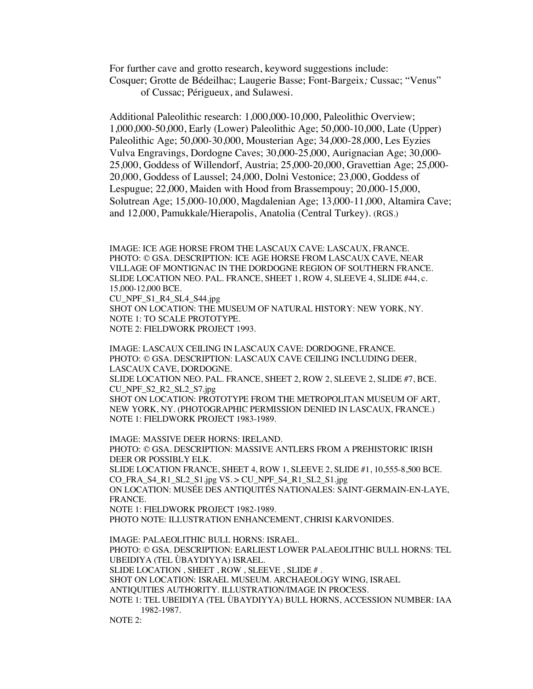For further cave and grotto research, keyword suggestions include: Cosquer; Grotte de Bédeilhac; Laugerie Basse; Font-Bargeix*;* Cussac; "Venus" of Cussac; Périgueux, and Sulawesi.

Additional Paleolithic research: 1,000,000-10,000, Paleolithic Overview; 1,000,000-50,000, Early (Lower) Paleolithic Age; 50,000-10,000, Late (Upper) Paleolithic Age; 50,000-30,000, Mousterian Age; 34,000-28,000, Les Eyzies Vulva Engravings, Dordogne Caves; 30,000-25,000, Aurignacian Age; 30,000- 25,000, Goddess of Willendorf, Austria; 25,000-20,000, Gravettian Age; 25,000- 20,000, Goddess of Laussel; 24,000, Dolni Vestonice; 23,000, Goddess of Lespugue; 22,000, Maiden with Hood from Brassempouy; 20,000-15,000, Solutrean Age; 15,000-10,000, Magdalenian Age; 13,000-11,000, Altamira Cave; and 12,000, Pamukkale/Hierapolis, Anatolia (Central Turkey). (RGS.)

IMAGE: ICE AGE HORSE FROM THE LASCAUX CAVE: LASCAUX, FRANCE. PHOTO: © GSA. DESCRIPTION: ICE AGE HORSE FROM LASCAUX CAVE, NEAR VILLAGE OF MONTIGNAC IN THE DORDOGNE REGION OF SOUTHERN FRANCE. SLIDE LOCATION NEO. PAL. FRANCE, SHEET 1, ROW 4, SLEEVE 4, SLIDE #44, c. 15,000-12,000 BCE. CU\_NPF\_S1\_R4\_SL4\_S44.jpg SHOT ON LOCATION: THE MUSEUM OF NATURAL HISTORY: NEW YORK, NY. NOTE 1: TO SCALE PROTOTYPE. NOTE 2: FIELDWORK PROJECT 1993.

IMAGE: LASCAUX CEILING IN LASCAUX CAVE: DORDOGNE, FRANCE. PHOTO: © GSA. DESCRIPTION: LASCAUX CAVE CEILING INCLUDING DEER, LASCAUX CAVE, DORDOGNE. SLIDE LOCATION NEO. PAL. FRANCE, SHEET 2, ROW 2, SLEEVE 2, SLIDE #7, BCE. CU\_NPF\_S2\_R2\_SL2\_S7.jpg SHOT ON LOCATION: PROTOTYPE FROM THE METROPOLITAN MUSEUM OF ART, NEW YORK, NY. (PHOTOGRAPHIC PERMISSION DENIED IN LASCAUX, FRANCE.) NOTE 1: FIELDWORK PROJECT 1983-1989.

IMAGE: MASSIVE DEER HORNS: IRELAND. PHOTO: © GSA. DESCRIPTION: MASSIVE ANTLERS FROM A PREHISTORIC IRISH DEER OR POSSIBLY ELK. SLIDE LOCATION FRANCE, SHEET 4, ROW 1, SLEEVE 2, SLIDE #1, 10,555-8,500 BCE. CO\_FRA\_S4\_R1\_SL2\_S1.jpg VS. > CU\_NPF\_S4\_R1\_SL2\_S1.jpg ON LOCATION: MUSÉE DES ANTIQUITÉS NATIONALES: SAINT-GERMAIN-EN-LAYE, FRANCE. NOTE 1: FIELDWORK PROJECT 1982-1989. PHOTO NOTE: ILLUSTRATION ENHANCEMENT, CHRISI KARVONIDES. IMAGE: PALAEOLITHIC BULL HORNS: ISRAEL. PHOTO: © GSA. DESCRIPTION: EARLIEST LOWER PALAEOLITHIC BULL HORNS: TEL UBEIDIYA (TEL ÙBAYDIYYA) ISRAEL. SLIDE LOCATION , SHEET , ROW , SLEEVE , SLIDE # . SHOT ON LOCATION: ISRAEL MUSEUM. ARCHAEOLOGY WING, ISRAEL

ANTIQUITIES AUTHORITY. ILLUSTRATION/IMAGE IN PROCESS.

NOTE 1: TEL UBEIDIYA (TEL ÙBAYDIYYA) BULL HORNS, ACCESSION NUMBER: IAA 1982-1987.

NOTE 2: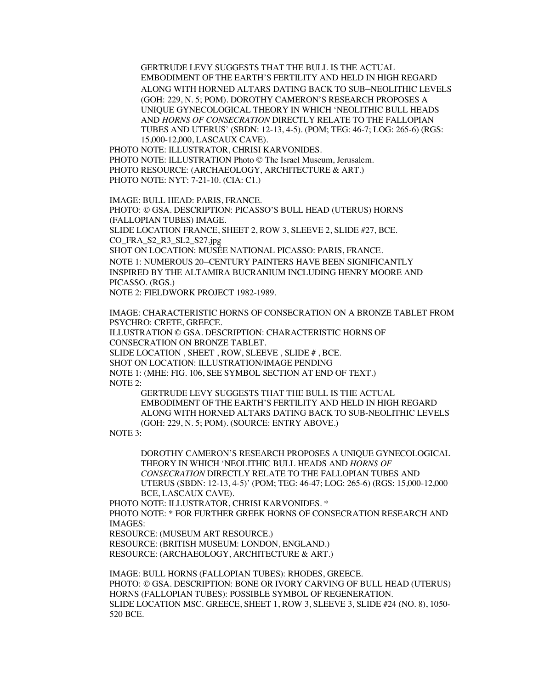GERTRUDE LEVY SUGGESTS THAT THE BULL IS THE ACTUAL EMBODIMENT OF THE EARTH'S FERTILITY AND HELD IN HIGH REGARD ALONG WITH HORNED ALTARS DATING BACK TO SUB–NEOLITHIC LEVELS (GOH: 229, N. 5; POM). DOROTHY CAMERON'S RESEARCH PROPOSES A UNIQUE GYNECOLOGICAL THEORY IN WHICH 'NEOLITHIC BULL HEADS AND *HORNS OF CONSECRATION* DIRECTLY RELATE TO THE FALLOPIAN TUBES AND UTERUS' (SBDN: 12-13, 4-5). (POM; TEG: 46-7; LOG: 265-6) (RGS: 15,000-12,000, LASCAUX CAVE).

PHOTO NOTE: ILLUSTRATOR, CHRISI KARVONIDES. PHOTO NOTE: ILLUSTRATION Photo © The Israel Museum, Jerusalem. PHOTO RESOURCE: (ARCHAEOLOGY, ARCHITECTURE & ART.) PHOTO NOTE: NYT: 7-21-10. (CIA: C1.)

IMAGE: BULL HEAD: PARIS, FRANCE.

PHOTO: © GSA. DESCRIPTION: PICASSO'S BULL HEAD (UTERUS) HORNS (FALLOPIAN TUBES) IMAGE. SLIDE LOCATION FRANCE, SHEET 2, ROW 3, SLEEVE 2, SLIDE #27, BCE. CO\_FRA\_S2\_R3\_SL2\_S27.jpg SHOT ON LOCATION: MUSÉE NATIONAL PICASSO: PARIS, FRANCE. NOTE 1: NUMEROUS 20–CENTURY PAINTERS HAVE BEEN SIGNIFICANTLY INSPIRED BY THE ALTAMIRA BUCRANIUM INCLUDING HENRY MOORE AND PICASSO. (RGS.)

NOTE 2: FIELDWORK PROJECT 1982-1989.

IMAGE: CHARACTERISTIC HORNS OF CONSECRATION ON A BRONZE TABLET FROM PSYCHRO: CRETE, GREECE. ILLUSTRATION © GSA. DESCRIPTION: CHARACTERISTIC HORNS OF CONSECRATION ON BRONZE TABLET. SLIDE LOCATION , SHEET , ROW, SLEEVE , SLIDE # , BCE. SHOT ON LOCATION: ILLUSTRATION/IMAGE PENDING NOTE 1: (MHE: FIG. 106, SEE SYMBOL SECTION AT END OF TEXT.) NOTE 2:

GERTRUDE LEVY SUGGESTS THAT THE BULL IS THE ACTUAL EMBODIMENT OF THE EARTH'S FERTILITY AND HELD IN HIGH REGARD ALONG WITH HORNED ALTARS DATING BACK TO SUB-NEOLITHIC LEVELS (GOH: 229, N. 5; POM). (SOURCE: ENTRY ABOVE.)

NOTE 3:

DOROTHY CAMERON'S RESEARCH PROPOSES A UNIQUE GYNECOLOGICAL THEORY IN WHICH 'NEOLITHIC BULL HEADS AND *HORNS OF CONSECRATION* DIRECTLY RELATE TO THE FALLOPIAN TUBES AND UTERUS (SBDN: 12-13, 4-5)' (POM; TEG: 46-47; LOG: 265-6) (RGS: 15,000-12,000 BCE, LASCAUX CAVE).

PHOTO NOTE: ILLUSTRATOR, CHRISI KARVONIDES. \*

PHOTO NOTE: \* FOR FURTHER GREEK HORNS OF CONSECRATION RESEARCH AND IMAGES:

RESOURCE: (MUSEUM ART RESOURCE.)

RESOURCE: (BRITISH MUSEUM: LONDON, ENGLAND.) RESOURCE: (ARCHAEOLOGY, ARCHITECTURE & ART.)

IMAGE: BULL HORNS (FALLOPIAN TUBES): RHODES, GREECE. PHOTO: © GSA. DESCRIPTION: BONE OR IVORY CARVING OF BULL HEAD (UTERUS) HORNS (FALLOPIAN TUBES): POSSIBLE SYMBOL OF REGENERATION. SLIDE LOCATION MSC. GREECE, SHEET 1, ROW 3, SLEEVE 3, SLIDE #24 (NO. 8), 1050- 520 BCE.